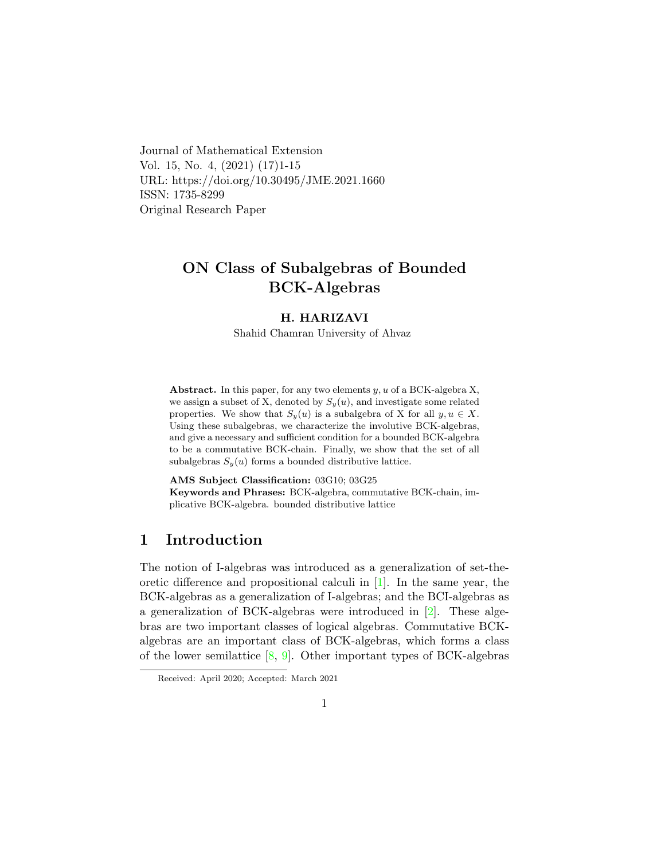Journal of Mathematical Extension Vol. 15, No. 4, (2021) (17)1-15 URL: https://doi.org/10.30495/JME.2021.1660 ISSN: 1735-8299 Original Research Paper

# ON Class of Subalgebras of Bounded BCK-Algebras

#### H. HARIZAVI

Shahid Chamran University of Ahvaz

Abstract. In this paper, for any two elements  $y, u$  of a BCK-algebra X, we assign a subset of X, denoted by  $S_y(u)$ , and investigate some related properties. We show that  $S_y(u)$  is a subalgebra of X for all  $y, u \in X$ . Using these subalgebras, we characterize the involutive BCK-algebras, and give a necessary and sufficient condition for a bounded BCK-algebra to be a commutative BCK-chain. Finally, we show that the set of all subalgebras  $S_y(u)$  forms a bounded distributive lattice.

AMS Subject Classification: 03G10; 03G25 Keywords and Phrases: BCK-algebra, commutative BCK-chain, implicative BCK-algebra. bounded distributive lattice

# 1 Introduction

The notion of I-algebras was introduced as a generalization of set-theoretic difference and propositional calculi in [\[1\]](#page-13-0). In the same year, the BCK-algebras as a generalization of I-algebras; and the BCI-algebras as a generalization of BCK-algebras were introduced in [\[2\]](#page-13-1). These algebras are two important classes of logical algebras. Commutative BCKalgebras are an important class of BCK-algebras, which forms a class of the lower semilattice  $[8, 9]$  $[8, 9]$  $[8, 9]$ . Other important types of BCK-algebras

Received: April 2020; Accepted: March 2021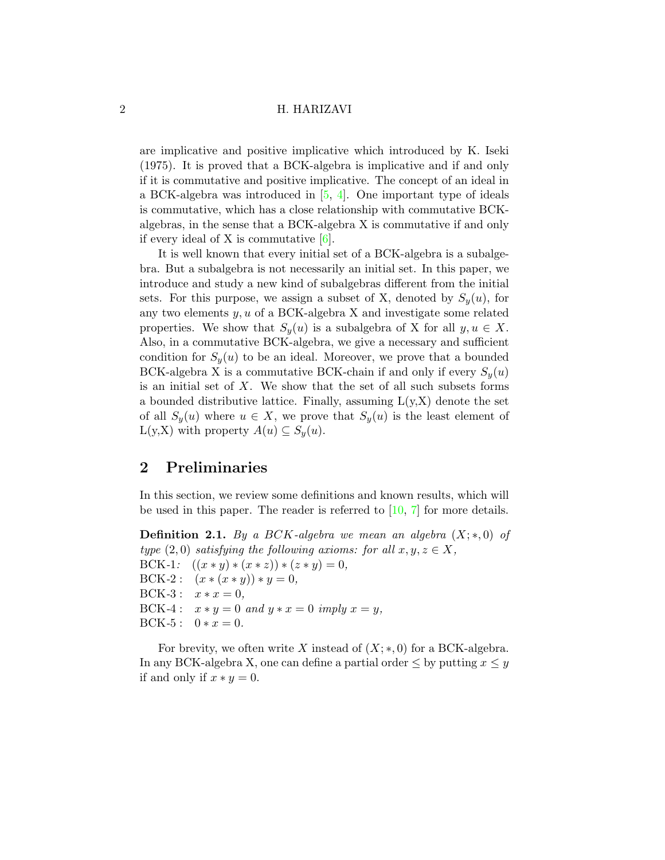are implicative and positive implicative which introduced by K. Iseki (1975). It is proved that a BCK-algebra is implicative and if and only if it is commutative and positive implicative. The concept of an ideal in a BCK-algebra was introduced in [\[5,](#page-14-2) [4\]](#page-13-2). One important type of ideals is commutative, which has a close relationship with commutative BCKalgebras, in the sense that a BCK-algebra X is commutative if and only if every ideal of X is commutative  $[6]$ .

It is well known that every initial set of a BCK-algebra is a subalgebra. But a subalgebra is not necessarily an initial set. In this paper, we introduce and study a new kind of subalgebras different from the initial sets. For this purpose, we assign a subset of X, denoted by  $S_y(u)$ , for any two elements  $y, u$  of a BCK-algebra X and investigate some related properties. We show that  $S_y(u)$  is a subalgebra of X for all  $y, u \in X$ . Also, in a commutative BCK-algebra, we give a necessary and sufficient condition for  $S_y(u)$  to be an ideal. Moreover, we prove that a bounded BCK-algebra X is a commutative BCK-chain if and only if every  $S_{\nu}(u)$ is an initial set of  $X$ . We show that the set of all such subsets forms a bounded distributive lattice. Finally, assuming  $L(y, X)$  denote the set of all  $S_y(u)$  where  $u \in X$ , we prove that  $S_y(u)$  is the least element of  $L(y,X)$  with property  $A(u) \subseteq S_u(u)$ .

# 2 Preliminaries

In this section, we review some definitions and known results, which will be used in this paper. The reader is referred to [\[10,](#page-14-4) [7\]](#page-14-5) for more details.

**Definition 2.1.** By a BCK-algebra we mean an algebra  $(X;*,0)$  of type  $(2,0)$  satisfying the following axioms: for all  $x, y, z \in X$ , BCK-1:  $((x * y) * (x * z)) * (z * y) = 0,$ BCK-2 :  $(x * (x * y)) * y = 0$ , BCK-3 :  $x * x = 0$ , BCK-4 :  $x * y = 0$  and  $y * x = 0$  imply  $x = y$ , BCK-5 :  $0 * x = 0$ .

For brevity, we often write X instead of  $(X;*,0)$  for a BCK-algebra. In any BCK-algebra X, one can define a partial order  $\leq$  by putting  $x \leq y$ if and only if  $x * y = 0$ .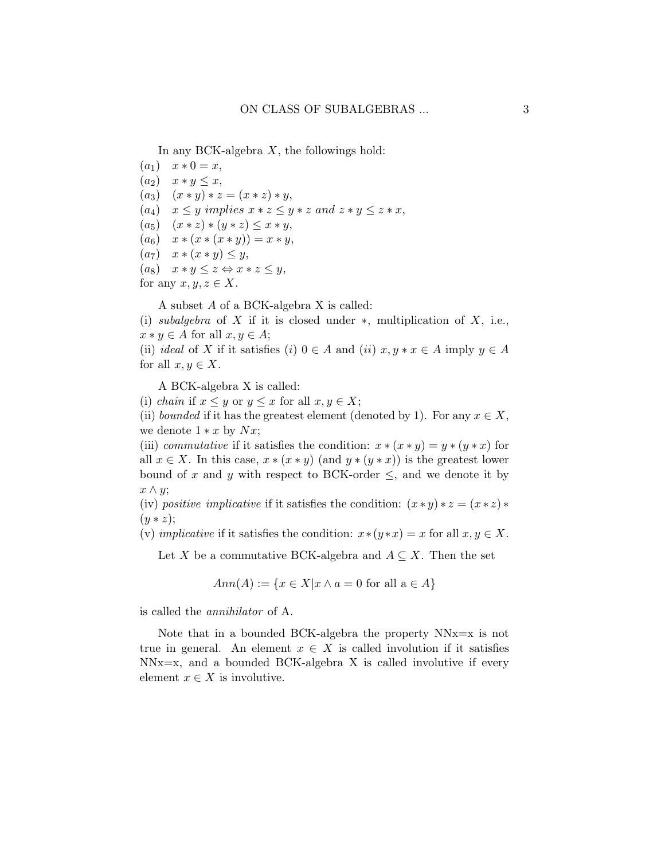In any BCK-algebra  $X$ , the followings hold:

- $(a_1)$   $x * 0 = x,$
- $(a_2)$   $x * y \leq x$ ,
- $(a_3)$   $(x * y) * z = (x * z) * y,$
- $(a_4)$   $x \leq y$  implies  $x * z \leq y * z$  and  $z * y \leq z * x$ ,
- $(a_5)$   $(x * z) * (y * z) \leq x * y$ ,
- $(a_6)$   $x * (x * (x * y)) = x * y$ ,
- $(a_7)$   $x * (x * y) \leq y$ ,
- $(a_8)$   $x * y \leq z \Leftrightarrow x * z \leq y,$
- for any  $x, y, z \in X$ .

A subset A of a BCK-algebra X is called:

(i) subalgebra of X if it is closed under  $\ast$ , multiplication of X, i.e.,  $x * y \in A$  for all  $x, y \in A$ ;

(ii) ideal of X if it satisfies (i)  $0 \in A$  and (ii)  $x, y * x \in A$  imply  $y \in A$ for all  $x, y \in X$ .

A BCK-algebra X is called:

(i) chain if  $x \leq y$  or  $y \leq x$  for all  $x, y \in X$ ;

(ii) bounded if it has the greatest element (denoted by 1). For any  $x \in X$ , we denote  $1 * x$  by  $Nx$ ;

(iii) commutative if it satisfies the condition:  $x * (x * y) = y * (y * x)$  for all  $x \in X$ . In this case,  $x * (x * y)$  (and  $y * (y * x)$ ) is the greatest lower bound of x and y with respect to BCK-order  $\leq$ , and we denote it by  $x \wedge y$ ;

(iv) positive implicative if it satisfies the condition:  $(x * y) * z = (x * z) *$  $(y * z);$ 

(v) implicative if it satisfies the condition:  $x*(y*x) = x$  for all  $x, y \in X$ .

Let X be a commutative BCK-algebra and  $A \subseteq X$ . Then the set

$$
Ann(A) := \{ x \in X | x \wedge a = 0 \text{ for all } a \in A \}
$$

is called the annihilator of A.

Note that in a bounded BCK-algebra the property  $NNx=x$  is not true in general. An element  $x \in X$  is called involution if it satisfies  $NNx=x$ , and a bounded BCK-algebra X is called involutive if every element  $x \in X$  is involutive.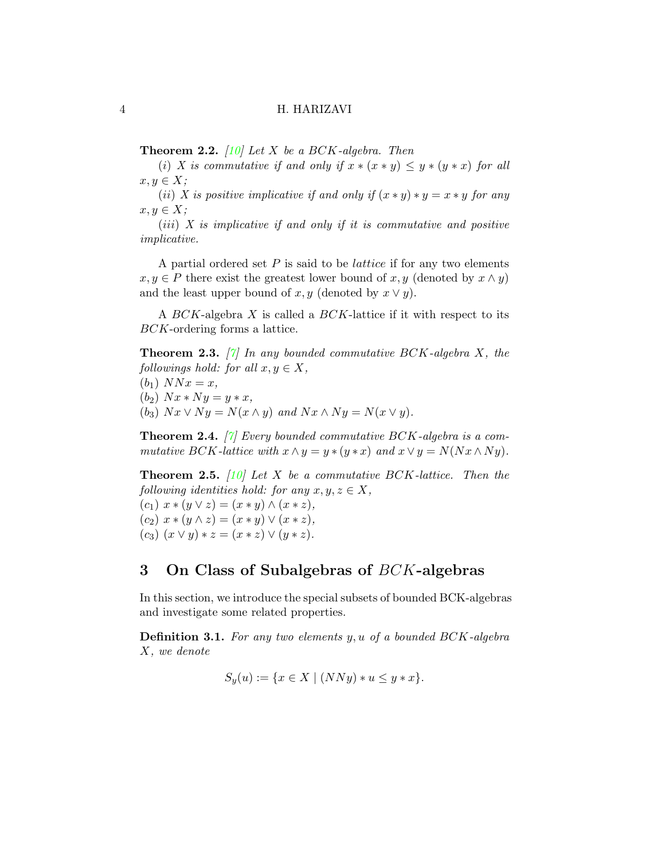<span id="page-3-1"></span>**Theorem 2.2.** [\[10\]](#page-14-4) Let X be a BCK-algebra. Then

(i) X is commutative if and only if  $x * (x * y) \leq y * (y * x)$  for all  $x, y \in X$ ;

(ii) X is positive implicative if and only if  $(x * y) * y = x * y$  for any  $x, y \in X;$ 

 $(iii)$  X is implicative if and only if it is commutative and positive implicative.

A partial ordered set  $P$  is said to be *lattice* if for any two elements  $x, y \in P$  there exist the greatest lower bound of  $x, y$  (denoted by  $x \wedge y$ ) and the least upper bound of x, y (denoted by  $x \vee y$ ).

A BCK-algebra X is called a BCK-lattice if it with respect to its BCK-ordering forms a lattice.

**Theorem 2.3.** [\[7\]](#page-14-5) In any bounded commutative BCK-algebra X, the followings hold: for all  $x, y \in X$ ,

 $(b_1)$   $NNx = x$ ,  $(b_2)$   $Nx*Ny=y*x,$ (b<sub>3</sub>)  $Nx \vee Ny = N(x \wedge y)$  and  $Nx \wedge Ny = N(x \vee y)$ .

**Theorem 2.4.** [\[7\]](#page-14-5) Every bounded commutative BCK-algebra is a commutative BCK-lattice with  $x \wedge y = y * (y * x)$  and  $x \vee y = N(Nx \wedge Ny)$ .

<span id="page-3-0"></span>**Theorem 2.5.** [\[10\]](#page-14-4) Let X be a commutative BCK-lattice. Then the following identities hold: for any  $x, y, z \in X$ ,  $(c_1)$   $x * (y \vee z) = (x * y) \wedge (x * z),$ 

(c<sub>2</sub>)  $x * (y \wedge z) = (x * y) \vee (x * z),$ (c<sub>3</sub>)  $(x \vee y) * z = (x * z) \vee (y * z).$ 

# 3 On Class of Subalgebras of BCK-algebras

In this section, we introduce the special subsets of bounded BCK-algebras and investigate some related properties.

**Definition 3.1.** For any two elements  $y, u$  of a bounded BCK-algebra X, we denote

$$
S_y(u) := \{ x \in X \mid (NNy) * u \le y * x \}.
$$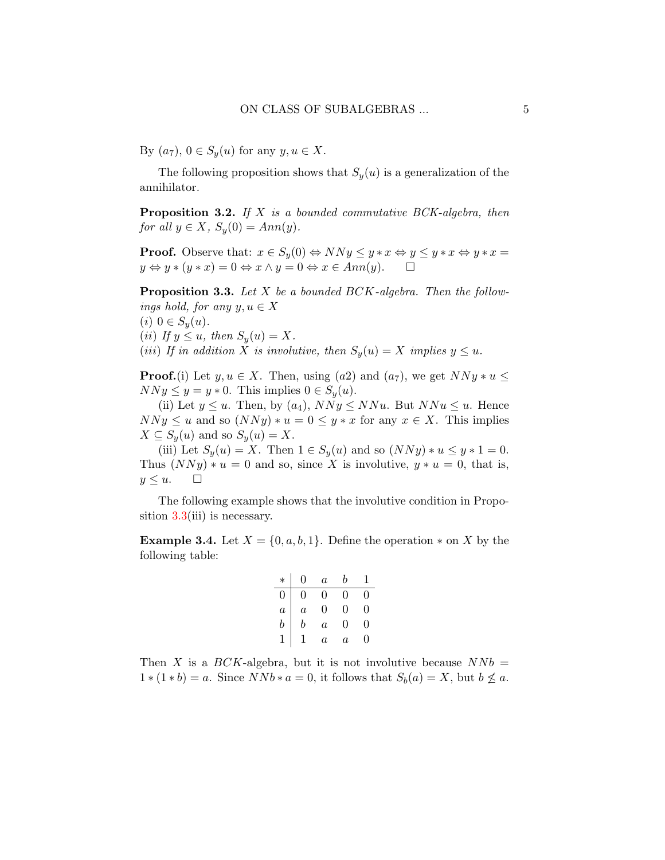By  $(a_7)$ ,  $0 \in S_y(u)$  for any  $y, u \in X$ .

The following proposition shows that  $S_y(u)$  is a generalization of the annihilator.

**Proposition 3.2.** If  $X$  is a bounded commutative BCK-algebra, then for all  $y \in X$ ,  $S_y(0) = Ann(y)$ .

**Proof.** Observe that:  $x \in S_y(0) \Leftrightarrow NNy \leq y * x \Leftrightarrow y \leq y * x \Leftrightarrow y * x =$  $y \Leftrightarrow y * (y * x) = 0 \Leftrightarrow x \wedge y = 0 \Leftrightarrow x \in Ann(y).$ 

<span id="page-4-0"></span>**Proposition 3.3.** Let  $X$  be a bounded  $BCK$ -algebra. Then the followings hold, for any  $y, u \in X$ 

(*i*)  $0 \in S_y(u)$ .

- (ii) If  $y \leq u$ , then  $S_y(u) = X$ .
- (iii) If in addition X is involutive, then  $S_y(u) = X$  implies  $y \leq u$ .

**Proof.**(i) Let  $y, u \in X$ . Then, using (a2) and (a<sub>7</sub>), we get  $NNy * u \leq$  $NNy \leq y = y * 0$ . This implies  $0 \in S_y(u)$ .

(ii) Let  $y \leq u$ . Then, by  $(a_4)$ ,  $NNy \leq NNu$ . But  $NNu \leq u$ . Hence  $NNy \le u$  and so  $(NNy)*u = 0 \le y*x$  for any  $x \in X$ . This implies  $X \subseteq S_y(u)$  and so  $S_y(u) = X$ .

(iii) Let  $S_y(u) = X$ . Then  $1 \in S_y(u)$  and so  $(NNy) * u \leq y * 1 = 0$ . Thus  $(NNy)*u=0$  and so, since X is involutive,  $y*u=0$ , that is,  $y \leq u$ .  $\Box$ 

The following example shows that the involutive condition in Proposition  $3.3$ (iii) is necessary.

**Example 3.4.** Let  $X = \{0, a, b, 1\}$ . Define the operation  $*$  on X by the following table:

$$
\begin{array}{c|cccc}\n* & 0 & a & b & 1 \\
\hline\n0 & 0 & 0 & 0 & 0 \\
a & a & 0 & 0 & 0 \\
b & b & a & 0 & 0 \\
1 & 1 & a & a & 0\n\end{array}
$$

Then X is a  $BCK$ -algebra, but it is not involutive because  $NNb =$  $1*(1*b) = a$ . Since  $NNb*a = 0$ , it follows that  $S_b(a) = X$ , but  $b \not\leq a$ .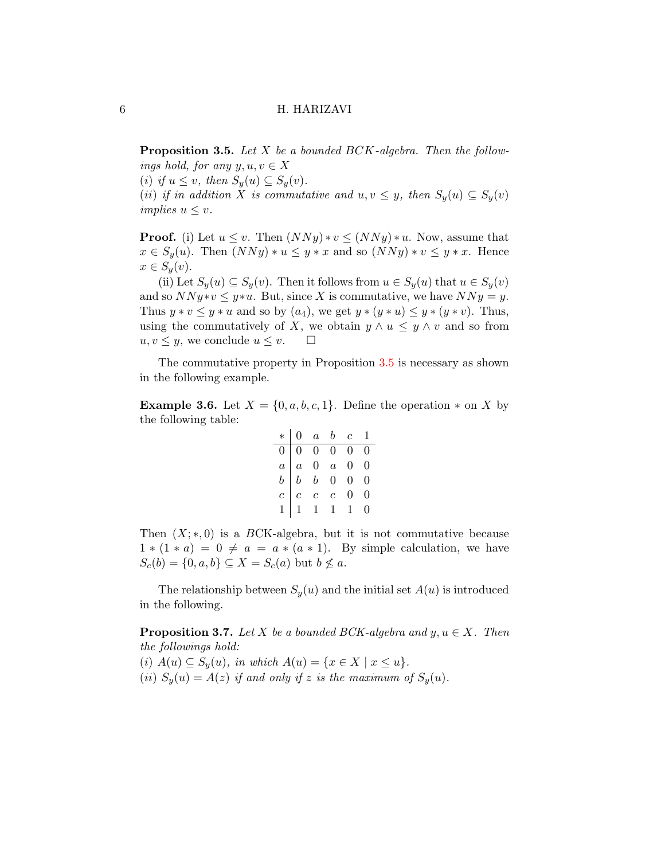<span id="page-5-0"></span>**Proposition 3.5.** Let  $X$  be a bounded  $BCK$ -algebra. Then the followings hold, for any  $y, u, v \in X$ 

(i) if  $u \leq v$ , then  $S_y(u) \subseteq S_y(v)$ .

(ii) if in addition X is commutative and  $u, v \leq y$ , then  $S_y(u) \subseteq S_y(v)$ implies  $u \leq v$ .

**Proof.** (i) Let  $u \leq v$ . Then  $(NNy)*v \leq (NNy)*u$ . Now, assume that  $x \in S_y(u)$ . Then  $(NNy)*u \leq y*x$  and so  $(NNy)*v \leq y*x$ . Hence  $x \in S_y(v)$ .

(ii) Let  $S_y(u) \subseteq S_y(v)$ . Then it follows from  $u \in S_y(u)$  that  $u \in S_y(v)$ and so  $NNy*v \leq y*u$ . But, since X is commutative, we have  $NNy = y$ . Thus  $y * v \leq y * u$  and so by  $(a_4)$ , we get  $y * (y * u) \leq y * (y * v)$ . Thus, using the commutatively of X, we obtain  $y \wedge u \leq y \wedge v$  and so from  $u, v \leq y$ , we conclude  $u \leq v$ .  $\Box$ 

The commutative property in Proposition [3.5](#page-5-0) is necessary as shown in the following example.

<span id="page-5-1"></span>**Example 3.6.** Let  $X = \{0, a, b, c, 1\}$ . Define the operation  $*$  on X by the following table:

$$
\begin{array}{c|cccc}\n* & 0 & a & b & c & 1 \\
\hline\n0 & 0 & 0 & 0 & 0 & 0 \\
a & a & 0 & a & 0 & 0 \\
b & b & b & 0 & 0 & 0 \\
c & c & c & c & 0 & 0 \\
1 & 1 & 1 & 1 & 1 & 0\n\end{array}
$$

Then  $(X;*,0)$  is a BCK-algebra, but it is not commutative because  $1 * (1 * a) = 0 \neq a = a * (a * 1)$ . By simple calculation, we have  $S_c(b) = \{0, a, b\} \subseteq X = S_c(a)$  but  $b \nleq a$ .

The relationship between  $S_y(u)$  and the initial set  $A(u)$  is introduced in the following.

<span id="page-5-2"></span>**Proposition 3.7.** Let X be a bounded BCK-algebra and  $y, u \in X$ . Then the followings hold:

(i)  $A(u) \subseteq S_u(u)$ , in which  $A(u) = \{x \in X \mid x \leq u\}.$ 

(ii)  $S_y(u) = A(z)$  if and only if z is the maximum of  $S_y(u)$ .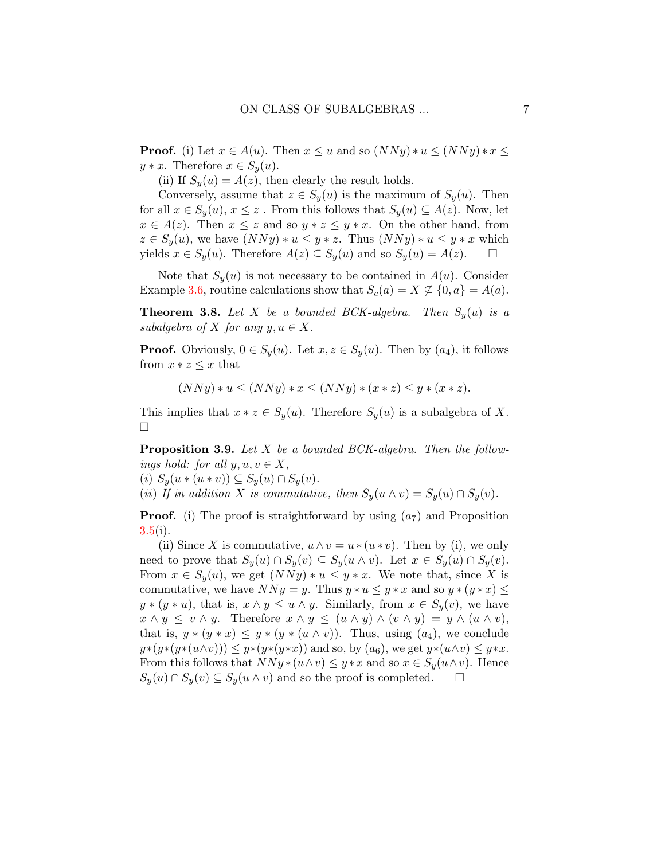**Proof.** (i) Let  $x \in A(u)$ . Then  $x \leq u$  and so  $(NNy)*u \leq (NNy)*x \leq$  $y * x$ . Therefore  $x \in S_y(u)$ .

(ii) If  $S_y(u) = A(z)$ , then clearly the result holds.

Conversely, assume that  $z \in S_y(u)$  is the maximum of  $S_y(u)$ . Then for all  $x \in S_y(u)$ ,  $x \leq z$ . From this follows that  $S_y(u) \subseteq A(z)$ . Now, let  $x \in A(z)$ . Then  $x \leq z$  and so  $y * z \leq y * x$ . On the other hand, from  $z \in S_u(u)$ , we have  $(NNy)*u \leq y*z$ . Thus  $(NNy)*u \leq y*x$  which yields  $x \in S_y(u)$ . Therefore  $A(z) \subseteq S_y(u)$  and so  $S_y(u) = A(z)$ .  $\Box$ 

Note that  $S_y(u)$  is not necessary to be contained in  $A(u)$ . Consider Example [3.6,](#page-5-1) routine calculations show that  $S_c(a) = X \nsubseteq \{0, a\} = A(a)$ .

<span id="page-6-1"></span>**Theorem 3.8.** Let X be a bounded BCK-algebra. Then  $S_y(u)$  is a subalgebra of X for any  $y, u \in X$ .

**Proof.** Obviously,  $0 \in S_y(u)$ . Let  $x, z \in S_y(u)$ . Then by  $(a_4)$ , it follows from  $x * z \leq x$  that

 $(NNy)*u \leq (NNy)*x \leq (NNy)*(x*z) \leq y*(x*z).$ 

This implies that  $x * z \in S_y(u)$ . Therefore  $S_y(u)$  is a subalgebra of X.  $\Box$ 

<span id="page-6-0"></span>**Proposition 3.9.** Let X be a bounded BCK-algebra. Then the followings hold: for all  $y, u, v \in X$ ,

(i)  $S_y(u * (u * v)) \subseteq S_y(u) \cap S_y(v)$ .

(ii) If in addition X is commutative, then  $S_y(u \wedge v) = S_y(u) \cap S_y(v)$ .

**Proof.** (i) The proof is straightforward by using  $(a_7)$  and Proposition  $3.5(i)$  $3.5(i)$ .

(ii) Since X is commutative,  $u \wedge v = u * (u * v)$ . Then by (i), we only need to prove that  $S_y(u) \cap S_y(v) \subseteq S_y(u \wedge v)$ . Let  $x \in S_y(u) \cap S_y(v)$ . From  $x \in S_u(u)$ , we get  $(NNy)*u \leq y*x$ . We note that, since X is commutative, we have  $NNy = y$ . Thus  $y * u \leq y * x$  and so  $y * (y * x) \leq$  $y * (y * u)$ , that is,  $x \wedge y \leq u \wedge y$ . Similarly, from  $x \in S_y(v)$ , we have  $x \wedge y \leq v \wedge y$ . Therefore  $x \wedge y \leq (u \wedge y) \wedge (v \wedge y) = y \wedge (u \wedge v)$ , that is,  $y * (y * x) \leq y * (y * (u \wedge v))$ . Thus, using  $(a_4)$ , we conclude  $y*(y*(u\wedge v))) \leq y*(y*(y*x))$  and so, by  $(a_6)$ , we get  $y*(u\wedge v) \leq y*x$ . From this follows that  $NNy*(u\wedge v) \leq y*x$  and so  $x \in S_y(u\wedge v)$ . Hence  $S_y(u) \cap S_y(v) \subseteq S_y(u \wedge v)$  and so the proof is completed.  $\Box$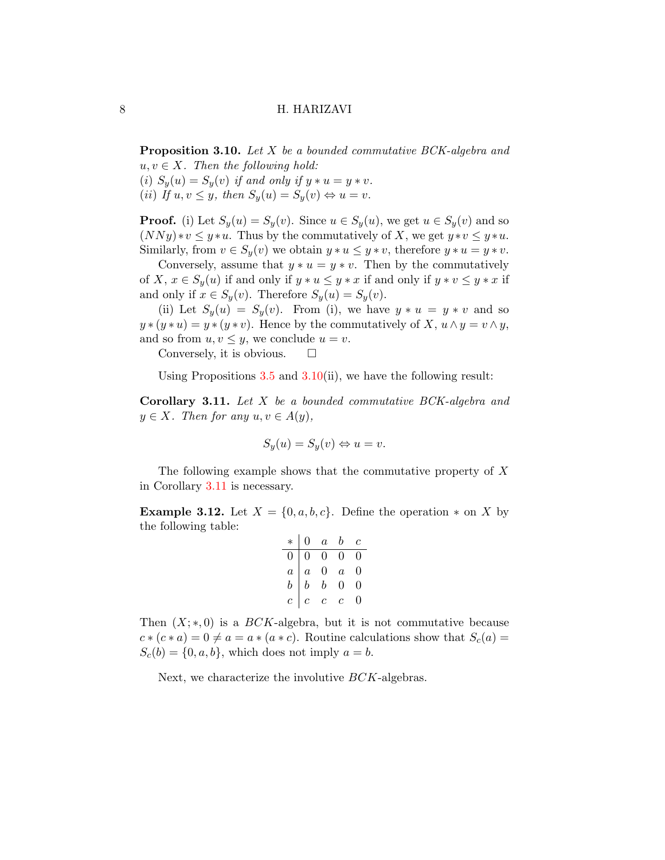<span id="page-7-0"></span>**Proposition 3.10.** Let X be a bounded commutative BCK-algebra and  $u, v \in X$ . Then the following hold: (i)  $S_y(u) = S_y(v)$  if and only if  $y * u = y * v$ .

(ii) If  $u, v \leq y$ , then  $S_y(u) = S_y(v) \Leftrightarrow u = v$ .

**Proof.** (i) Let  $S_y(u) = S_y(v)$ . Since  $u \in S_y(u)$ , we get  $u \in S_y(v)$  and so  $(NNy)*v \leq y*u$ . Thus by the commutatively of X, we get  $y*v \leq y*u$ . Similarly, from  $v \in S_y(v)$  we obtain  $y * u \leq y * v$ , therefore  $y * u = y * v$ .

Conversely, assume that  $y * u = y * v$ . Then by the commutatively of X,  $x \in S_y(u)$  if and only if  $y * u \leq y * x$  if and only if  $y * v \leq y * x$  if and only if  $x \in S_y(v)$ . Therefore  $S_y(u) = S_y(v)$ .

(ii) Let  $S_y(u) = S_y(v)$ . From (i), we have  $y * u = y * v$  and so  $y * (y * u) = y * (y * v)$ . Hence by the commutatively of X,  $u \wedge y = v \wedge y$ , and so from  $u, v \leq y$ , we conclude  $u = v$ .

Conversely, it is obvious.  $\square$ 

Using Propositions  $3.5$  and  $3.10(i)$  $3.10(i)$ , we have the following result:

<span id="page-7-1"></span>Corollary 3.11. Let X be a bounded commutative BCK-algebra and  $y \in X$ . Then for any  $u, v \in A(y)$ ,

$$
S_y(u) = S_y(v) \Leftrightarrow u = v.
$$

The following example shows that the commutative property of X in Corollary [3.11](#page-7-1) is necessary.

**Example 3.12.** Let  $X = \{0, a, b, c\}$ . Define the operation  $*$  on X by the following table:

|                  | $\overline{0}$   | $\boldsymbol{a}$ | $\boldsymbol{b}$ | $\,c\,$ |
|------------------|------------------|------------------|------------------|---------|
| $\boldsymbol{0}$ | $\overline{0}$   | $\overline{0}$   | 0                |         |
| $\overline{a}$   | $\overline{a}$   | $\overline{0}$   | $\overline{a}$   | 0       |
| $\boldsymbol{b}$ | $\boldsymbol{b}$ | $\boldsymbol{b}$ | 0                | 0       |
| $\overline{c}$   | $\overline{c}$   | $\mathfrak{c}$   | $\overline{c}$   |         |

Then  $(X;*,0)$  is a BCK-algebra, but it is not commutative because  $c*(c*a) = 0 \neq a = a*(a*c)$ . Routine calculations show that  $S_c(a) =$  $S_c(b) = \{0, a, b\}$ , which does not imply  $a = b$ .

Next, we characterize the involutive BCK-algebras.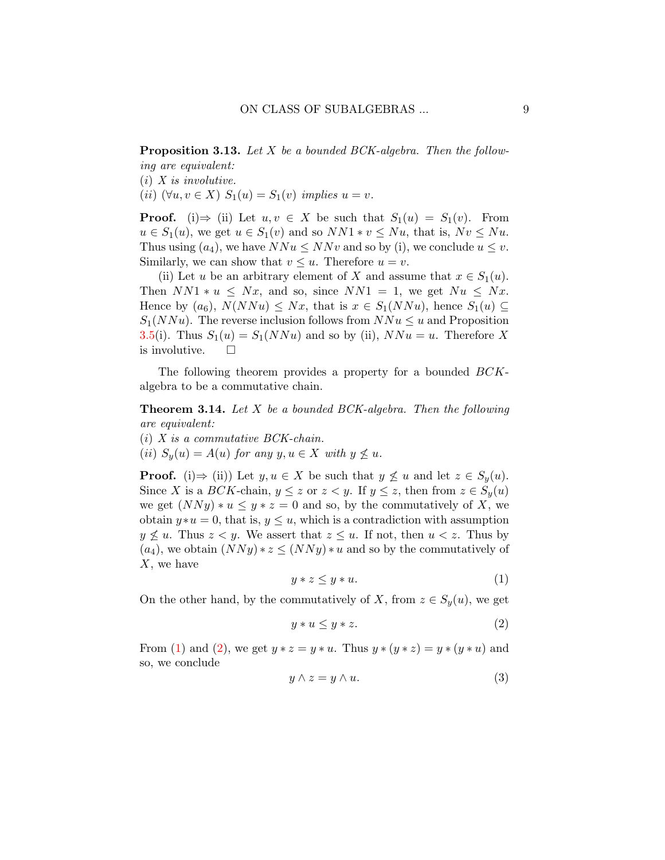Proposition 3.13. Let X be a bounded BCK-algebra. Then the following are equivalent:

 $(i)$  X is involutive.

(ii)  $(\forall u, v \in X)$   $S_1(u) = S_1(v)$  implies  $u = v$ .

**Proof.** (i)  $\Rightarrow$  (ii) Let  $u, v \in X$  be such that  $S_1(u) = S_1(v)$ . From  $u \in S_1(u)$ , we get  $u \in S_1(v)$  and so  $NN1 * v \leq Nu$ , that is,  $Nv \leq Nu$ . Thus using  $(a_4)$ , we have  $NNu \leq NNv$  and so by (i), we conclude  $u \leq v$ . Similarly, we can show that  $v \leq u$ . Therefore  $u = v$ .

(ii) Let u be an arbitrary element of X and assume that  $x \in S_1(u)$ . Then  $NN1 * u \leq Nx$ , and so, since  $NN1 = 1$ , we get  $Nu \leq Nx$ . Hence by  $(a_6)$ ,  $N(NNu) \le Nx$ , that is  $x \in S_1(NNu)$ , hence  $S_1(u) \subseteq$  $S_1(NNu)$ . The reverse inclusion follows from  $NNu \leq u$  and Proposition [3.5\(](#page-5-0)i). Thus  $S_1(u) = S_1(NNu)$  and so by (ii),  $NNu = u$ . Therefore X is involutive.  $\Box$ 

The following theorem provides a property for a bounded  $BCK$ algebra to be a commutative chain.

<span id="page-8-3"></span>**Theorem 3.14.** Let  $X$  be a bounded BCK-algebra. Then the following are equivalent:

 $(i)$  X is a commutative BCK-chain.

(ii)  $S_y(u) = A(u)$  for any  $y, u \in X$  with  $y \nleq u$ .

**Proof.** (i) $\Rightarrow$  (ii)) Let  $y, u \in X$  be such that  $y \nleq u$  and let  $z \in S_y(u)$ . Since X is a BCK-chain,  $y \leq z$  or  $z < y$ . If  $y \leq z$ , then from  $z \in S_y(u)$ we get  $(NNy)*u \leq y*z=0$  and so, by the commutatively of X, we obtain  $y * u = 0$ , that is,  $y \leq u$ , which is a contradiction with assumption  $y \nleq u$ . Thus  $z \leq y$ . We assert that  $z \leq u$ . If not, then  $u \leq z$ . Thus by  $(a_4)$ , we obtain  $(NNy)*z \leq (NNy)*u$  and so by the commutatively of X, we have

<span id="page-8-0"></span>
$$
y * z \le y * u. \tag{1}
$$

On the other hand, by the commutatively of X, from  $z \in S_y(u)$ , we get

<span id="page-8-1"></span>
$$
y * u \le y * z. \tag{2}
$$

From [\(1\)](#page-8-0) and [\(2\)](#page-8-1), we get  $y * z = y * u$ . Thus  $y * (y * z) = y * (y * u)$  and so, we conclude

<span id="page-8-2"></span>
$$
y \wedge z = y \wedge u. \tag{3}
$$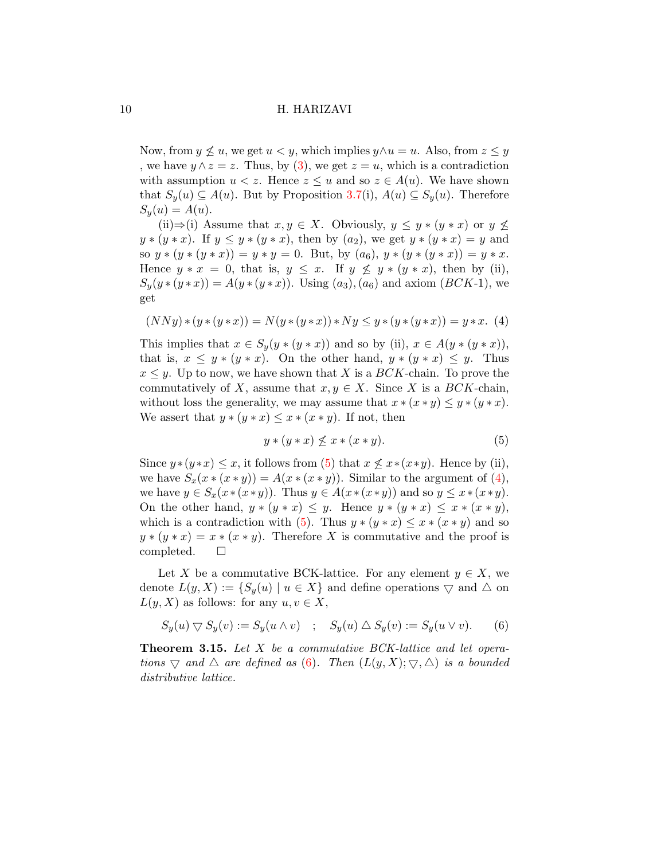Now, from  $y \nleq u$ , we get  $u < y$ , which implies  $y \wedge u = u$ . Also, from  $z \leq y$ , we have  $y \wedge z = z$ . Thus, by [\(3\)](#page-8-2), we get  $z = u$ , which is a contradiction with assumption  $u < z$ . Hence  $z \leq u$  and so  $z \in A(u)$ . We have shown that  $S_y(u) \subseteq A(u)$ . But by Proposition [3.7\(](#page-5-2)i),  $A(u) \subseteq S_y(u)$ . Therefore  $S_u(u) = A(u).$ 

(ii)⇒(i) Assume that  $x, y \in X$ . Obviously,  $y \leq y * (y * x)$  or  $y \nleq$  $y * (y * x)$ . If  $y \le y * (y * x)$ , then by  $(a_2)$ , we get  $y * (y * x) = y$  and so  $y * (y * (y * x)) = y * y = 0$ . But, by  $(a_6)$ ,  $y * (y * (y * x)) = y * x$ . Hence  $y * x = 0$ , that is,  $y \leq x$ . If  $y \not\leq y * (y * x)$ , then by (ii),  $S_y(y*(y*x)) = A(y*(y*x)).$  Using  $(a_3), (a_6)$  and axiom  $(BCK-1)$ , we get

<span id="page-9-1"></span>
$$
(NNy)*(y*(y*x)) = N(y*(y*x))*Ny \le y*(y*(y*x)) = y*x. (4)
$$

This implies that  $x \in S_y(y * (y * x))$  and so by (ii),  $x \in A(y * (y * x))$ , that is,  $x \leq y * (y * x)$ . On the other hand,  $y * (y * x) \leq y$ . Thus  $x \leq y$ . Up to now, we have shown that X is a BCK-chain. To prove the commutatively of X, assume that  $x, y \in X$ . Since X is a BCK-chain, without loss the generality, we may assume that  $x * (x * y) \leq y * (y * x)$ . We assert that  $y * (y * x) \leq x * (x * y)$ . If not, then

<span id="page-9-0"></span>
$$
y * (y * x) \nleq x * (x * y). \tag{5}
$$

Since  $y*(y*x) \leq x$ , it follows from [\(5\)](#page-9-0) that  $x \nleq x*(x*y)$ . Hence by (ii), we have  $S_x(x*(x*y)) = A(x*(x*y)).$  Similar to the argument of [\(4\)](#page-9-1), we have  $y \in S_x(x \ast (x \ast y))$ . Thus  $y \in A(x \ast (x \ast y))$  and so  $y \leq x \ast (x \ast y)$ . On the other hand,  $y * (y * x) \leq y$ . Hence  $y * (y * x) \leq x * (x * y)$ , which is a contradiction with [\(5\)](#page-9-0). Thus  $y * (y * x) \leq x * (x * y)$  and so  $y * (y * x) = x * (x * y)$ . Therefore X is commutative and the proof is completed.  $\square$ 

Let X be a commutative BCK-lattice. For any element  $y \in X$ , we denote  $L(y, X) := \{S_u(u) \mid u \in X\}$  and define operations  $\bigtriangledown$  and  $\bigtriangleup$  on  $L(y, X)$  as follows: for any  $u, v \in X$ ,

<span id="page-9-2"></span>
$$
S_y(u) \bigtriangledown S_y(v) := S_y(u \wedge v) \quad ; \quad S_y(u) \triangle S_y(v) := S_y(u \vee v). \tag{6}
$$

**Theorem 3.15.** Let X be a commutative BCK-lattice and let operations  $\bigtriangledown$  and  $\bigtriangleup$  are defined as [\(6\)](#page-9-2). Then  $(L(y, X); \bigtriangledown, \bigtriangleup)$  is a bounded distributive lattice.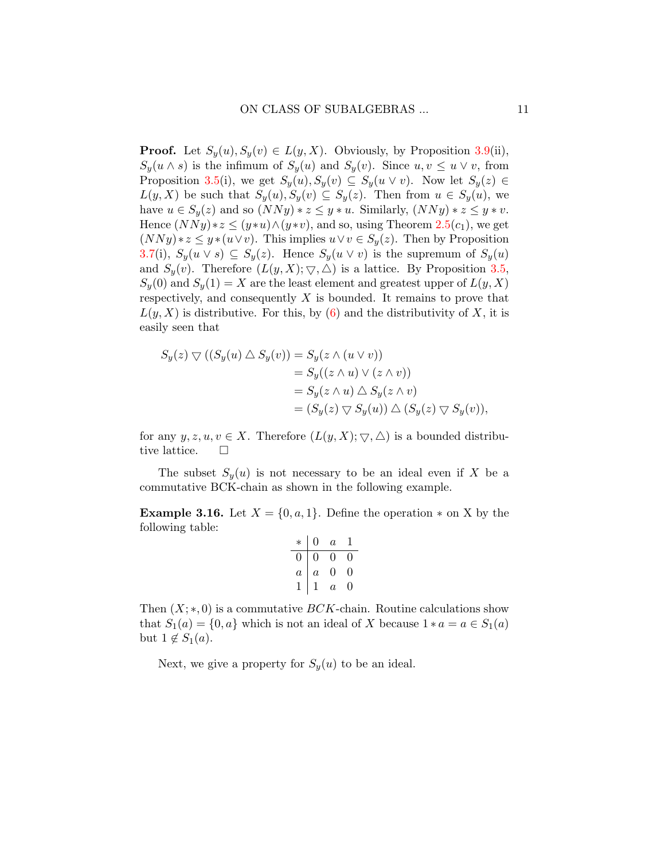**Proof.** Let  $S_y(u), S_y(v) \in L(y, X)$ . Obviously, by Proposition [3.9\(](#page-6-0)ii),  $S_y(u \wedge s)$  is the infimum of  $S_y(u)$  and  $S_y(v)$ . Since  $u, v \leq u \vee v$ , from Proposition [3.5\(](#page-5-0)i), we get  $S_y(u), S_y(v) \subseteq S_y(u \vee v)$ . Now let  $S_y(z) \in$  $L(y, X)$  be such that  $S_y(u), S_y(v) \subseteq S_y(z)$ . Then from  $u \in S_y(u)$ , we have  $u \in S_u(z)$  and so  $(NNy)*z \leq y*u$ . Similarly,  $(NNy)*z \leq y*v$ . Hence  $(NNy)*z \leq (y*u)\wedge (y*v)$ , and so, using Theorem [2.5\(](#page-3-0)c<sub>1</sub>), we get  $(NNy)*z \leq y*(u\vee v)$ . This implies  $u\vee v \in S_y(z)$ . Then by Proposition [3.7\(](#page-5-2)i),  $S_y(u \vee s) \subseteq S_y(z)$ . Hence  $S_y(u \vee v)$  is the supremum of  $S_y(u)$ and  $S_y(v)$ . Therefore  $(L(y, X); \nabla, \triangle)$  is a lattice. By Proposition [3.5,](#page-5-0)  $S_y(0)$  and  $S_y(1) = X$  are the least element and greatest upper of  $L(y, X)$ respectively, and consequently  $X$  is bounded. It remains to prove that  $L(y, X)$  is distributive. For this, by [\(6\)](#page-9-2) and the distributivity of X, it is easily seen that

$$
S_y(z) \bigtriangledown ((S_y(u) \bigtriangleup S_y(v)) = S_y(z \wedge (u \vee v))
$$
  
=  $S_y((z \wedge u) \vee (z \wedge v))$   
=  $S_y(z \wedge u) \bigtriangleup S_y(z \wedge v)$   
=  $(S_y(z) \bigtriangledown S_y(u)) \bigtriangleup (S_y(z) \bigtriangledown S_y(v)),$ 

for any  $y, z, u, v \in X$ . Therefore  $(L(y, X); \nabla, \triangle)$  is a bounded distributive lattice.  $\Box$ 

The subset  $S_n(u)$  is not necessary to be an ideal even if X be a commutative BCK-chain as shown in the following example.

**Example 3.16.** Let  $X = \{0, a, 1\}$ . Define the operation  $*$  on X by the following table:

| $\ast$         | 0              | $\it a$ |   |
|----------------|----------------|---------|---|
| 0              | 0              | 0       | U |
| $\overline{a}$ | $\overline{a}$ | 0       | 0 |
|                |                | $\it a$ |   |

Then  $(X;*,0)$  is a commutative  $BCK$ -chain. Routine calculations show that  $S_1(a) = \{0, a\}$  which is not an ideal of X because  $1 * a = a \in S_1(a)$ but  $1 \notin S_1(a)$ .

Next, we give a property for  $S_y(u)$  to be an ideal.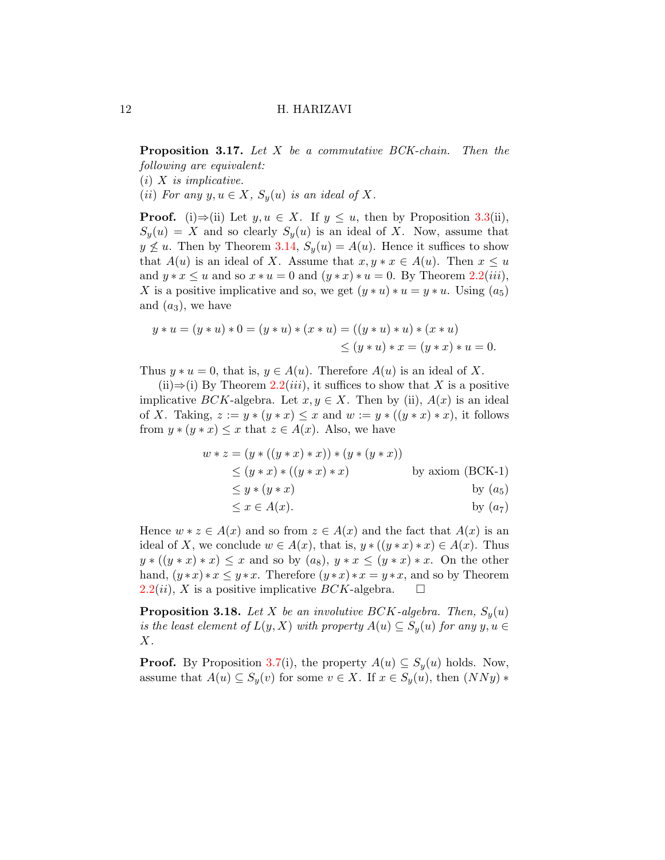Proposition 3.17. Let X be a commutative BCK-chain. Then the following are equivalent:

 $(i)$  X is implicative.

(ii) For any  $y, u \in X$ ,  $S_y(u)$  is an ideal of X.

**Proof.** (i)⇒(ii) Let  $y, u \in X$ . If  $y \leq u$ , then by Proposition [3.3\(](#page-4-0)ii),  $S_y(u) = X$  and so clearly  $S_y(u)$  is an ideal of X. Now, assume that  $y \nleq u$ . Then by Theorem [3.14,](#page-8-3)  $S_u(u) = A(u)$ . Hence it suffices to show that  $A(u)$  is an ideal of X. Assume that  $x, y * x \in A(u)$ . Then  $x \leq u$ and  $y * x \le u$  and so  $x * u = 0$  and  $(y * x) * u = 0$ . By Theorem [2.2\(](#page-3-1)*iii*), X is a positive implicative and so, we get  $(y * u) * u = y * u$ . Using  $(a_5)$ and  $(a_3)$ , we have

$$
y * u = (y * u) * 0 = (y * u) * (x * u) = ((y * u) * u) * (x * u)
$$
  

$$
\leq (y * u) * x = (y * x) * u = 0.
$$

Thus  $y * u = 0$ , that is,  $y \in A(u)$ . Therefore  $A(u)$  is an ideal of X.

(ii)⇒(i) By Theorem [2.2\(](#page-3-1)*iii*), it suffices to show that X is a positive implicative BCK-algebra. Let  $x, y \in X$ . Then by (ii),  $A(x)$  is an ideal of X. Taking,  $z := y * (y * x) \leq x$  and  $w := y * ((y * x) * x)$ , it follows from  $y * (y * x) \leq x$  that  $z \in A(x)$ . Also, we have

$$
w * z = (y * ((y * x) * x)) * (y * (y * x))
$$
  
\n
$$
\leq (y * x) * ((y * x) * x)
$$
 by axiom (BCK-1)  
\n
$$
\leq y * (y * x)
$$
 by  $(a_5)$   
\n
$$
\leq x \in A(x).
$$
 by  $(a_7)$ 

Hence  $w * z \in A(x)$  and so from  $z \in A(x)$  and the fact that  $A(x)$  is an ideal of X, we conclude  $w \in A(x)$ , that is,  $y * ((y * x) * x) \in A(x)$ . Thus  $y * ((y * x) * x) \leq x$  and so by  $(a_8)$ ,  $y * x \leq (y * x) * x$ . On the other hand,  $(y*x)*x \leq y*x$ . Therefore  $(y*x)*x = y*x$ , and so by Theorem  $2.2(ii)$  $2.2(ii)$ , X is a positive implicative BCK-algebra.  $\square$ 

<span id="page-11-0"></span>**Proposition 3.18.** Let X be an involutive BCK-algebra. Then,  $S_y(u)$ is the least element of  $L(y, X)$  with property  $A(u) \subseteq S_y(u)$  for any  $y, u \in$  $X$ .

**Proof.** By Proposition [3.7\(](#page-5-2)i), the property  $A(u) \subseteq S_u(u)$  holds. Now, assume that  $A(u) \subseteq S_y(v)$  for some  $v \in X$ . If  $x \in S_y(u)$ , then  $(NNy)$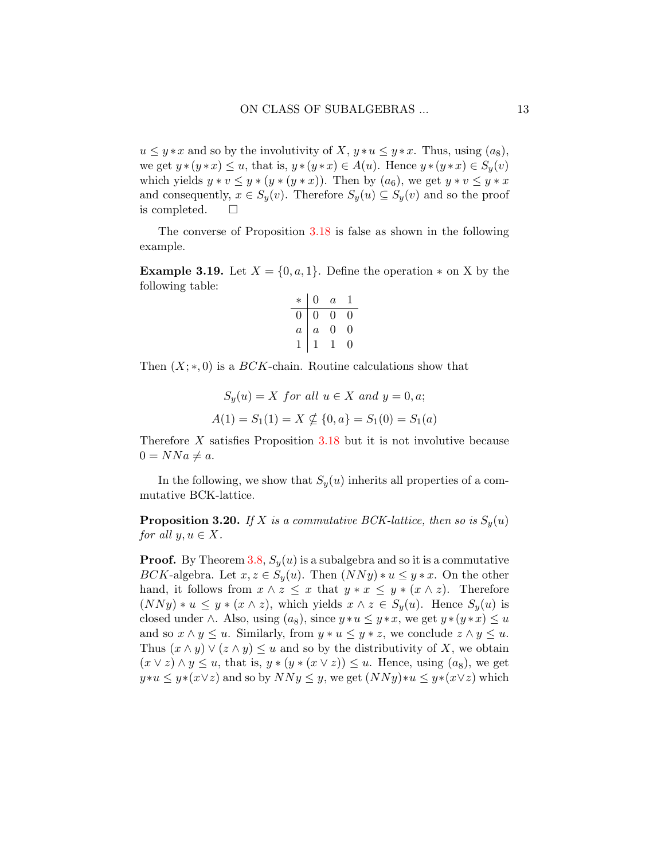$u \leq y * x$  and so by the involutivity of X,  $y * u \leq y * x$ . Thus, using  $(a_8)$ , we get  $y*(y*x) \le u$ , that is,  $y*(y*x) \in A(u)$ . Hence  $y*(y*x) \in S_y(v)$ which yields  $y * v \leq y * (y * (y * x))$ . Then by  $(a_6)$ , we get  $y * v \leq y * x$ and consequently,  $x \in S_y(v)$ . Therefore  $S_y(u) \subseteq S_y(v)$  and so the proof is completed.

The converse of Proposition [3.18](#page-11-0) is false as shown in the following example.

**Example 3.19.** Let  $X = \{0, a, 1\}$ . Define the operation  $*$  on X by the following table:

$$
\begin{array}{c|cccc}\n* & 0 & a & 1 \\
\hline\n0 & 0 & 0 & 0 \\
a & a & 0 & 0 \\
1 & 1 & 1 & 0\n\end{array}
$$

Then  $(X;*,0)$  is a  $BCK$ -chain. Routine calculations show that

$$
S_y(u) = X \text{ for all } u \in X \text{ and } y = 0, a;
$$
  

$$
A(1) = S_1(1) = X \nsubseteq \{0, a\} = S_1(0) = S_1(a)
$$

Therefore  $X$  satisfies Proposition [3.18](#page-11-0) but it is not involutive because  $0 = NNa \neq a.$ 

In the following, we show that  $S_y(u)$  inherits all properties of a commutative BCK-lattice.

**Proposition 3.20.** If X is a commutative BCK-lattice, then so is  $S_y(u)$ for all  $y, u \in X$ .

**Proof.** By Theorem [3.8,](#page-6-1)  $S_y(u)$  is a subalgebra and so it is a commutative BCK-algebra. Let  $x, z \in S_y(u)$ . Then  $(NNy)*u \leq y*x$ . On the other hand, it follows from  $x \wedge z \leq x$  that  $y * x \leq y * (x \wedge z)$ . Therefore  $(NNy) * u \leq y * (x \wedge z)$ , which yields  $x \wedge z \in S_y(u)$ . Hence  $S_y(u)$  is closed under  $\wedge$ . Also, using  $(a_8)$ , since  $y * u \leq y * x$ , we get  $y * (y * x) \leq u$ and so  $x \wedge y \leq u$ . Similarly, from  $y * u \leq y * z$ , we conclude  $z \wedge y \leq u$ . Thus  $(x \wedge y) \vee (z \wedge y) \leq u$  and so by the distributivity of X, we obtain  $(x \vee z) \wedge y \leq u$ , that is,  $y * (y * (x \vee z)) \leq u$ . Hence, using  $(a_8)$ , we get  $y*u \leq y*(x\vee z)$  and so by  $NNy \leq y$ , we get  $(NNy)*u \leq y*(x\vee z)$  which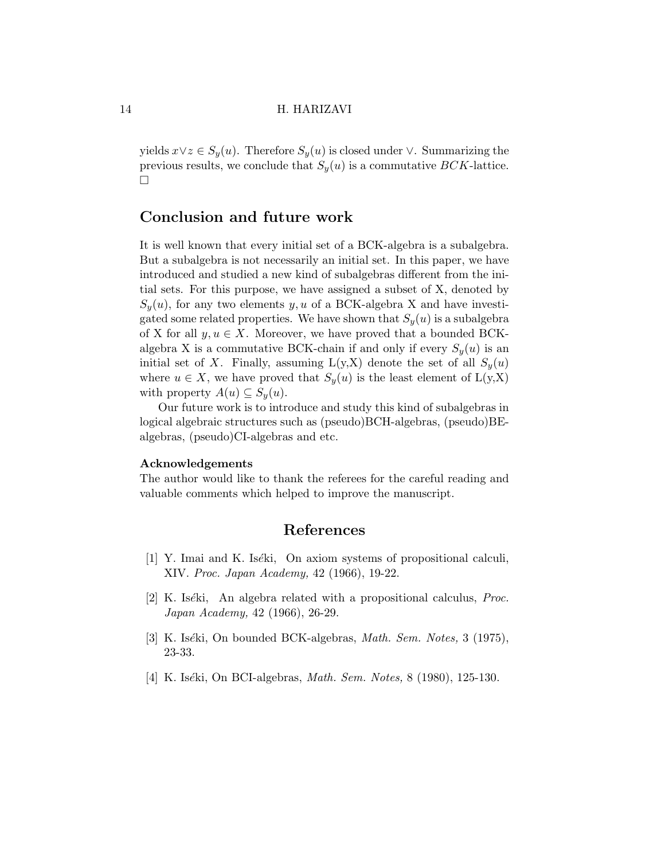yields  $x \vee z \in S_y(u)$ . Therefore  $S_y(u)$  is closed under  $\vee$ . Summarizing the previous results, we conclude that  $S_y(u)$  is a commutative BCK-lattice.  $\Box$ 

# Conclusion and future work

It is well known that every initial set of a BCK-algebra is a subalgebra. But a subalgebra is not necessarily an initial set. In this paper, we have introduced and studied a new kind of subalgebras different from the initial sets. For this purpose, we have assigned a subset of X, denoted by  $S_y(u)$ , for any two elements y, u of a BCK-algebra X and have investigated some related properties. We have shown that  $S_{y}(u)$  is a subalgebra of X for all  $y, u \in X$ . Moreover, we have proved that a bounded BCKalgebra X is a commutative BCK-chain if and only if every  $S_u(u)$  is an initial set of X. Finally, assuming  $L(y,X)$  denote the set of all  $S_y(u)$ where  $u \in X$ , we have proved that  $S_y(u)$  is the least element of  $L(y,X)$ with property  $A(u) \subseteq S_y(u)$ .

Our future work is to introduce and study this kind of subalgebras in logical algebraic structures such as (pseudo)BCH-algebras, (pseudo)BEalgebras, (pseudo)CI-algebras and etc.

#### Acknowledgements

The author would like to thank the referees for the careful reading and valuable comments which helped to improve the manuscript.

### References

- <span id="page-13-0"></span>[1] Y. Imai and K. Iséki, On axiom systems of propositional calculi, XIV. Proc. Japan Academy, 42 (1966), 19-22.
- <span id="page-13-1"></span>[2] K. Iséki, An algebra related with a propositional calculus, *Proc.* Japan Academy, 42 (1966), 26-29.
- [3] K. Iséki, On bounded BCK-algebras, *Math. Sem. Notes*, 3 (1975), 23-33.
- <span id="page-13-2"></span>[4] K. Iséki, On BCI-algebras, *Math. Sem. Notes*, 8 (1980), 125-130.